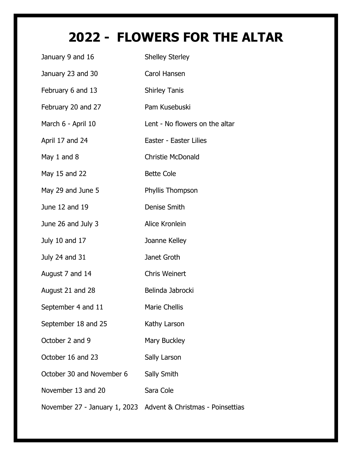## **2022 - FLOWERS FOR THE ALTAR**

| January 9 and 16              | <b>Shelley Sterley</b>           |
|-------------------------------|----------------------------------|
| January 23 and 30             | Carol Hansen                     |
| February 6 and 13             | <b>Shirley Tanis</b>             |
| February 20 and 27            | Pam Kusebuski                    |
| March 6 - April 10            | Lent - No flowers on the altar   |
| April 17 and 24               | Easter - Easter Lilies           |
| May 1 and 8                   | <b>Christie McDonald</b>         |
| May 15 and 22                 | <b>Bette Cole</b>                |
| May 29 and June 5             | Phyllis Thompson                 |
| June 12 and 19                | Denise Smith                     |
| June 26 and July 3            | Alice Kronlein                   |
| July 10 and 17                | Joanne Kelley                    |
| July 24 and 31                | Janet Groth                      |
| August 7 and 14               | <b>Chris Weinert</b>             |
| August 21 and 28              | Belinda Jabrocki                 |
| September 4 and 11            | <b>Marie Chellis</b>             |
| September 18 and 25           | Kathy Larson                     |
| October 2 and 9               | Mary Buckley                     |
| October 16 and 23             | Sally Larson                     |
| October 30 and November 6     | Sally Smith                      |
| November 13 and 20            | Sara Cole                        |
| November 27 - January 1, 2023 | Advent & Christmas - Poinsettias |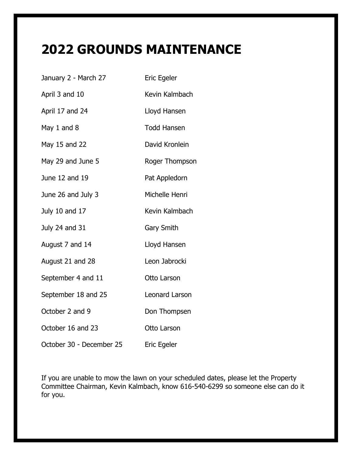## **2022 GROUNDS MAINTENANCE**

| January 2 - March 27     | <b>Eric Egeler</b> |
|--------------------------|--------------------|
| April 3 and 10           | Kevin Kalmbach     |
| April 17 and 24          | Lloyd Hansen       |
| May 1 and 8              | <b>Todd Hansen</b> |
| May 15 and 22            | David Kronlein     |
| May 29 and June 5        | Roger Thompson     |
| June 12 and 19           | Pat Appledorn      |
| June 26 and July 3       | Michelle Henri     |
| July 10 and 17           | Kevin Kalmbach     |
| July 24 and 31           | <b>Gary Smith</b>  |
| August 7 and 14          | Lloyd Hansen       |
| August 21 and 28         | Leon Jabrocki      |
| September 4 and 11       | Otto Larson        |
| September 18 and 25      | Leonard Larson     |
| October 2 and 9          | Don Thompsen       |
| October 16 and 23        | Otto Larson        |
| October 30 - December 25 | Eric Egeler        |

If you are unable to mow the lawn on your scheduled dates, please let the Property Committee Chairman, Kevin Kalmbach, know 616-540-6299 so someone else can do it for you.